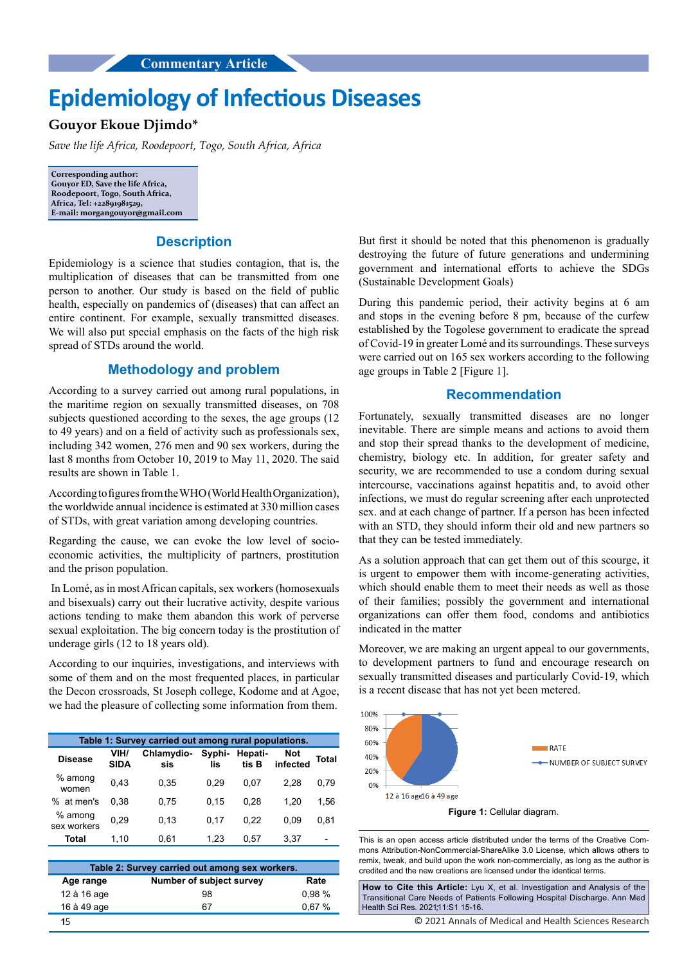# **Epidemiology of Infectious Diseases**

## **Gouyor Ekoue Djimdo\***

*Save the life Africa, Roodepoort, Togo, South Africa, Africa*

**Corresponding author: Gouyor ED, Save the life Africa, Roodepoort, Togo, South Africa, Africa, Tel: +22891981529, E-mail: morgangouyor@gmail.com**

### **Description**

Epidemiology is a science that studies contagion, that is, the multiplication of diseases that can be transmitted from one person to another. Our study is based on the field of public health, especially on pandemics of (diseases) that can affect an entire continent. For example, sexually transmitted diseases. We will also put special emphasis on the facts of the high risk spread of STDs around the world.

### **Methodology and problem**

According to a survey carried out among rural populations, in the maritime region on sexually transmitted diseases, on 708 subjects questioned according to the sexes, the age groups  $(12)$ to 49 years) and on a field of activity such as professionals sex, including 342 women, 276 men and 90 sex workers, during the last 8 months from October 10, 2019 to May 11, 2020. The said results are shown in Table 1.

According to figures from the WHO (World Health Organization), the worldwide annual incidence is estimated at 330 million cases of STDs, with great variation among developing countries.

Regarding the cause, we can evoke the low level of socioeconomic activities, the multiplicity of partners, prostitution and the prison population.

 In Lomé, as in most African capitals, sex workers (homosexuals and bisexuals) carry out their lucrative activity, despite various actions tending to make them abandon this work of perverse sexual exploitation. The big concern today is the prostitution of underage girls (12 to 18 years old).

According to our inquiries, investigations, and interviews with some of them and on the most frequented places, in particular the Decon crossroads, St Joseph college, Kodome and at Agoe, we had the pleasure of collecting some information from them.

| Table 1: Survey carried out among rural populations. |                     |                   |                       |       |                        |       |  |
|------------------------------------------------------|---------------------|-------------------|-----------------------|-------|------------------------|-------|--|
| <b>Disease</b>                                       | VIH/<br><b>SIDA</b> | Chlamydio-<br>sis | Syphi- Hepati-<br>lis | tis B | <b>Not</b><br>infected | Total |  |
| $%$ among<br>women                                   | 0.43                | 0,35              | 0,29                  | 0.07  | 2.28                   | 0.79  |  |
| % at men's                                           | 0.38                | 0.75              | 0.15                  | 0.28  | 1.20                   | 1.56  |  |
| $%$ among<br>sex workers                             | 0.29                | 0.13              | 0.17                  | 0.22  | 0.09                   | 0,81  |  |
| Total                                                | 1.10                | 0,61              | 1.23                  | 0.57  | 3.37                   |       |  |

| Table 2: Survey carried out among sex workers. |                          |       |  |  |  |
|------------------------------------------------|--------------------------|-------|--|--|--|
| Age range                                      | Number of subject survey | Rate  |  |  |  |
| 12 à 16 age                                    | 98                       | 0.98% |  |  |  |
| 16 à 49 age                                    | 67                       | 0.67% |  |  |  |
| 15                                             |                          |       |  |  |  |

But first it should be noted that this phenomenon is gradually destroying the future of future generations and undermining government and international efforts to achieve the SDGs (Sustainable Development Goals)

During this pandemic period, their activity begins at 6 am and stops in the evening before 8 pm, because of the curfew established by the Togolese government to eradicate the spread of Covid-19 in greater Lomé and its surroundings. These surveys were carried out on 165 sex workers according to the following age groups in Table 2 [Figure 1].

#### **Recommendation**

Fortunately, sexually transmitted diseases are no longer inevitable. There are simple means and actions to avoid them and stop their spread thanks to the development of medicine, chemistry, biology etc. In addition, for greater safety and security, we are recommended to use a condom during sexual intercourse, vaccinations against hepatitis and, to avoid other infections, we must do regular screening after each unprotected sex. and at each change of partner. If a person has been infected with an STD, they should inform their old and new partners so that they can be tested immediately.

As a solution approach that can get them out of this scourge, it is urgent to empower them with income-generating activities, which should enable them to meet their needs as well as those of their families; possibly the government and international organizations can offer them food, condoms and antibiotics indicated in the matter

Moreover, we are making an urgent appeal to our governments, to development partners to fund and encourage research on sexually transmitted diseases and particularly Covid-19, which is a recent disease that has not yet been metered.



This is an open access article distributed under the terms of the Creative Commons Attribution‑NonCommercial‑ShareAlike 3.0 License, which allows others to remix, tweak, and build upon the work non‑commercially, as long as the author is credited and the new creations are licensed under the identical terms.

**How to Cite this Article:** Lyu X, et al. Investigation and Analysis of the Transitional Care Needs of Patients Following Hospital Discharge. Ann Med Health Sci Res. 2021;11:S1 15-16.

© 2021 Annals of Medical and Health Sciences Research